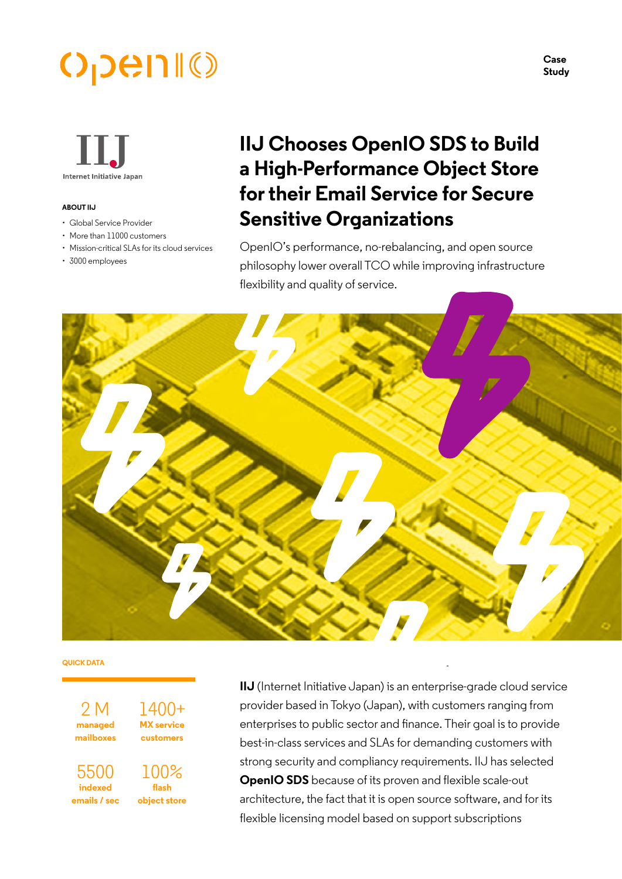# $O$ <sub>D</sub>en $\mathbb{I}(\mathbb{Q})$

Internet Initiative Japan

#### **ABOUT IIJ**

- Global Service Provider
- More than 11000 customers
- Mission-critical SLAs for its cloud services
- 3000 employees

## **IIJ Chooses OpenIO SDS to Build a High-Performance Object Store for their Email Service for Secure Sensitive Organizations**

OpenIO's performance, no-rebalancing, and open source philosophy lower overall TCO while improving infrastructure flexibility and quality of service.



**QUICK DATA**

2 M **managed mailboxes**

**customers** 100% 5500

**flash object store indexed emails / sec**

1400+ **MX service**  **IIJ** (Internet Initiative Japan) is an enterprise-grade cloud service provider based in Tokyo (Japan), with customers ranging from enterprises to public sector and finance. Their goal is to provide best-in-class services and SLAs for demanding customers with strong security and compliancy requirements. IIJ has selected **OpenIO SDS** because of its proven and flexible scale-out architecture, the fact that it is open source software, and for its flexible licensing model based on support subscriptions

**Case Study**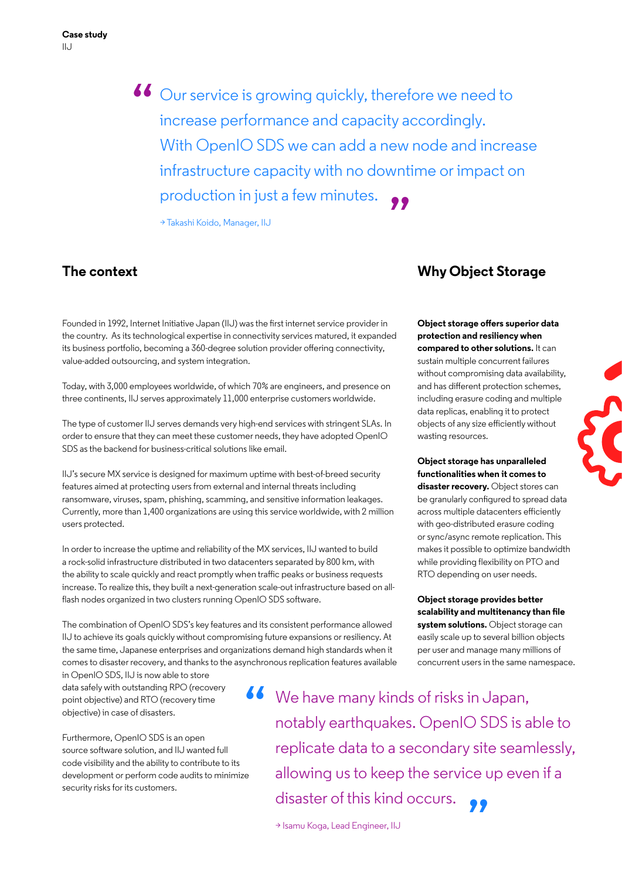<sup>66</sup> Our service is growing quickly, therefore we need to increase performance and capacity accordingly. increase performance and capacity accordingly. With OpenIO SDS we can add a new node and increase infrastructure capacity with no downtime or impact on production in just a few minutes.<br>
→ Takashi Koido, Manager, IIJ

> Takashi Koido, Manager, IIJ

### **The context**

**Why Object Storage**

wasting resources.

**Object storage offers superior data protection and resiliency when compared to other solutions.** It can sustain multiple concurrent failures without compromising data availability, and has different protection schemes, including erasure coding and multiple data replicas, enabling it to protect objects of any size efficiently without

Founded in 1992, Internet Initiative Japan (IIJ) was the first internet service provider in the country. As its technological expertise in connectivity services matured, it expanded its business portfolio, becoming a 360-degree solution provider offering connectivity, value-added outsourcing, and system integration.

Today, with 3,000 employees worldwide, of which 70% are engineers, and presence on three continents, IIJ serves approximately 11,000 enterprise customers worldwide.

The type of customer IIJ serves demands very high-end services with stringent SLAs. In order to ensure that they can meet these customer needs, they have adopted OpenIO SDS as the backend for business-critical solutions like email.

IIJ's secure MX service is designed for maximum uptime with best-of-breed security features aimed at protecting users from external and internal threats including ransomware, viruses, spam, phishing, scamming, and sensitive information leakages. Currently, more than 1,400 organizations are using this service worldwide, with 2 million users protected.

In order to increase the uptime and reliability of the MX services, IIJ wanted to build a rock-solid infrastructure distributed in two datacenters separated by 800 km, with the ability to scale quickly and react promptly when traffic peaks or business requests increase. To realize this, they built a next-generation scale-out infrastructure based on allflash nodes organized in two clusters running OpenIO SDS software.

The combination of OpenIO SDS's key features and its consistent performance allowed IIJ to achieve its goals quickly without compromising future expansions or resiliency. At the same time, Japanese enterprises and organizations demand high standards when it comes to disaster recovery, and thanks to the asynchronous replication features available

in OpenIO SDS, IIJ is now able to store data safely with outstanding RPO (recovery point objective) and RTO (recovery time objective) in case of disasters.

Furthermore, OpenIO SDS is an open source software solution, and IIJ wanted full code visibility and the ability to contribute to its development or perform code audits to minimize security risks for its customers.

We have many kinds of risks in Japan,<br>notably earthquakes. OpenIO SDS is a **"** notably earthquakes. OpenIO SDS is able to replicate data to a secondary site seamlessly, allowing us to keep the service up even if a disaster of this kind occurs.

> Isamu Koga, Lead Engineer, IIJ

**Object storage has unparalleled functionalities when it comes to disaster recovery.** Object stores can be granularly configured to spread data across multiple datacenters efficiently with geo-distributed erasure coding or sync/async remote replication. This makes it possible to optimize bandwidth while providing flexibility on PTO and RTO depending on user needs.

**Object storage provides better scalability and multitenancy than file system solutions.** Object storage can easily scale up to several billion objects per user and manage many millions of concurrent users in the same namespace.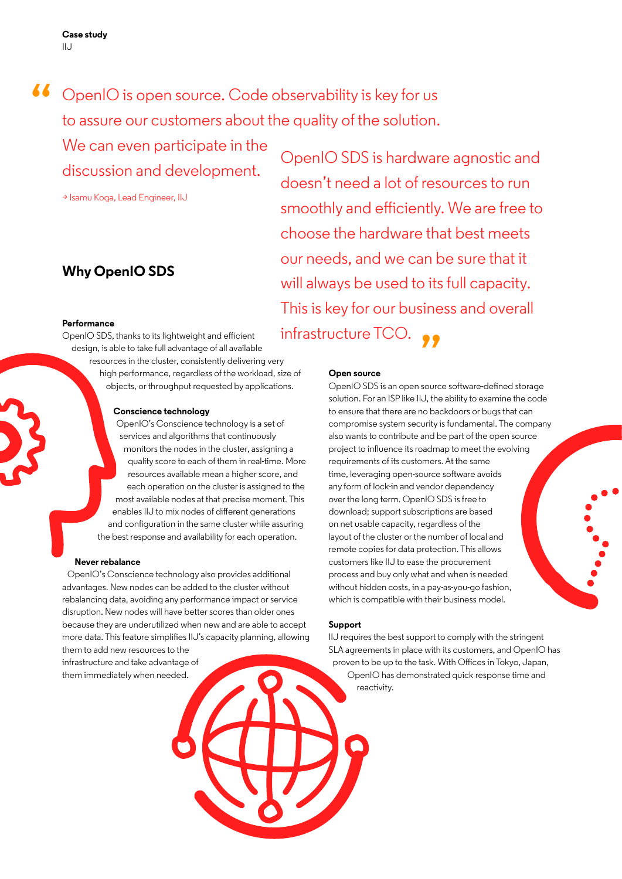**66** OpenIO is open source. Code observability is key for us to assure our customers about the quality of the solution. to assure our customers about the quality of the solution.

We can even participate in the

> Isamu Koga, Lead Engineer, IIJ

### **Why OpenIO SDS**

#### **Performance**

OpenIO SDS, thanks to its lightweight and efficient design, is able to take full advantage of all available resources in the cluster, consistently delivering very high performance, regardless of the workload, size of objects, or throughput requested by applications.

#### **Conscience technology**

OpenIO's Conscience technology is a set of services and algorithms that continuously monitors the nodes in the cluster, assigning a quality score to each of them in real-time. More resources available mean a higher score, and each operation on the cluster is assigned to the most available nodes at that precise moment. This enables IIJ to mix nodes of different generations and configuration in the same cluster while assuring the best response and availability for each operation.

#### **Never rebalance**

OpenIO's Conscience technology also provides additional advantages. New nodes can be added to the cluster without rebalancing data, avoiding any performance impact or service disruption. New nodes will have better scores than older ones because they are underutilized when new and are able to accept more data. This feature simplifies IIJ's capacity planning, allowing them to add new resources to the

infrastructure and take advantage of them immediately when needed.

discussion and development. OpenIO SDS is hardware agnostic and doesn't need a lot of resources to run smoothly and efficiently. We are free to choose the hardware that best meets our needs, and we can be sure that it will always be used to its full capacity. This is key for our business and overall infrastructure TCO.

#### **Open source**

OpenIO SDS is an open source software-defined storage solution. For an ISP like IIJ, the ability to examine the code to ensure that there are no backdoors or bugs that can compromise system security is fundamental. The company also wants to contribute and be part of the open source project to influence its roadmap to meet the evolving requirements of its customers. At the same time, leveraging open-source software avoids any form of lock-in and vendor dependency over the long term. OpenIO SDS is free to download; support subscriptions are based on net usable capacity, regardless of the layout of the cluster or the number of local and remote copies for data protection. This allows customers like IIJ to ease the procurement process and buy only what and when is needed without hidden costs, in a pay-as-you-go fashion, which is compatible with their business model.

#### **Support**

IIJ requires the best support to comply with the stringent SLA agreements in place with its customers, and OpenIO has proven to be up to the task. With Offices in Tokyo, Japan, OpenIO has demonstrated quick response time and reactivity.